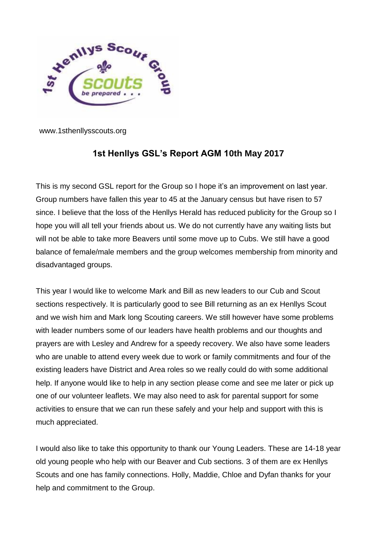

www.1sthenllysscouts.org

## **1st Henllys GSL's Report AGM 10th May 2017**

This is my second GSL report for the Group so I hope it's an improvement on last year. Group numbers have fallen this year to 45 at the January census but have risen to 57 since. I believe that the loss of the Henllys Herald has reduced publicity for the Group so I hope you will all tell your friends about us. We do not currently have any waiting lists but will not be able to take more Beavers until some move up to Cubs. We still have a good balance of female/male members and the group welcomes membership from minority and disadvantaged groups.

This year I would like to welcome Mark and Bill as new leaders to our Cub and Scout sections respectively. It is particularly good to see Bill returning as an ex Henllys Scout and we wish him and Mark long Scouting careers. We still however have some problems with leader numbers some of our leaders have health problems and our thoughts and prayers are with Lesley and Andrew for a speedy recovery. We also have some leaders who are unable to attend every week due to work or family commitments and four of the existing leaders have District and Area roles so we really could do with some additional help. If anyone would like to help in any section please come and see me later or pick up one of our volunteer leaflets. We may also need to ask for parental support for some activities to ensure that we can run these safely and your help and support with this is much appreciated.

I would also like to take this opportunity to thank our Young Leaders. These are 14-18 year old young people who help with our Beaver and Cub sections. 3 of them are ex Henllys Scouts and one has family connections. Holly, Maddie, Chloe and Dyfan thanks for your help and commitment to the Group.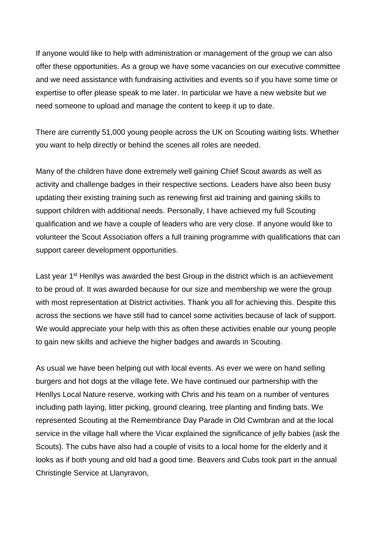If anyone would like to help with administration or management of the group we can also offer these opportunities. As a group we have some vacancies on our executive committee and we need assistance with fundraising activities and events so if you have some time or expertise to offer please speak to me later. In particular we have a new website but we need someone to upload and manage the content to keep it up to date.

There are currently 51,000 young people across the UK on Scouting waiting lists. Whether you want to help directly or behind the scenes all roles are needed.

Many of the children have done extremely well gaining Chief Scout awards as well as activity and challenge badges in their respective sections. Leaders have also been busy updating their existing training such as renewing first aid training and gaining skills to support children with additional needs. Personally, I have achieved my full Scouting qualification and we have a couple of leaders who are very close. If anyone would like to volunteer the Scout Association offers a full training programme with qualifications that can support career development opportunities.

Last year 1<sup>st</sup> Henllys was awarded the best Group in the district which is an achievement to be proud of. It was awarded because for our size and membership we were the group with most representation at District activities. Thank you all for achieving this. Despite this across the sections we have still had to cancel some activities because of lack of support. We would appreciate your help with this as often these activities enable our young people to gain new skills and achieve the higher badges and awards in Scouting.

As usual we have been helping out with local events. As ever we were on hand selling burgers and hot dogs at the village fete. We have continued our partnership with the Henllys Local Nature reserve, working with Chris and his team on a number of ventures including path laying, litter picking, ground clearing, tree planting and finding bats. We represented Scouting at the Remembrance Day Parade in Old Cwmbran and at the local service in the village hall where the Vicar explained the significance of jelly babies (ask the Scouts). The cubs have also had a couple of visits to a local home for the elderly and it looks as if both young and old had a good time. Beavers and Cubs took part in the annual Christingle Service at Llanyravon,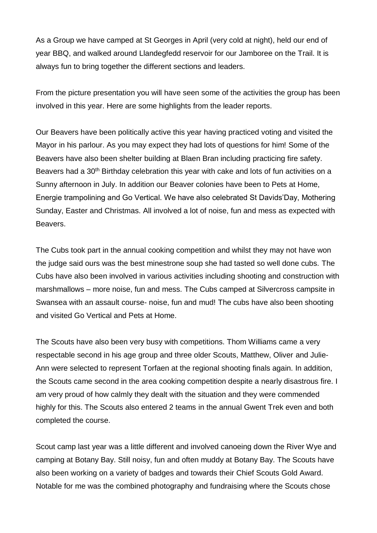As a Group we have camped at St Georges in April (very cold at night), held our end of year BBQ, and walked around Llandegfedd reservoir for our Jamboree on the Trail. It is always fun to bring together the different sections and leaders.

From the picture presentation you will have seen some of the activities the group has been involved in this year. Here are some highlights from the leader reports.

Our Beavers have been politically active this year having practiced voting and visited the Mayor in his parlour. As you may expect they had lots of questions for him! Some of the Beavers have also been shelter building at Blaen Bran including practicing fire safety. Beavers had a 30<sup>th</sup> Birthday celebration this year with cake and lots of fun activities on a Sunny afternoon in July. In addition our Beaver colonies have been to Pets at Home, Energie trampolining and Go Vertical. We have also celebrated St Davids'Day, Mothering Sunday, Easter and Christmas. All involved a lot of noise, fun and mess as expected with Beavers.

The Cubs took part in the annual cooking competition and whilst they may not have won the judge said ours was the best minestrone soup she had tasted so well done cubs. The Cubs have also been involved in various activities including shooting and construction with marshmallows – more noise, fun and mess. The Cubs camped at Silvercross campsite in Swansea with an assault course- noise, fun and mud! The cubs have also been shooting and visited Go Vertical and Pets at Home.

The Scouts have also been very busy with competitions. Thom Williams came a very respectable second in his age group and three older Scouts, Matthew, Oliver and Julie-Ann were selected to represent Torfaen at the regional shooting finals again. In addition, the Scouts came second in the area cooking competition despite a nearly disastrous fire. I am very proud of how calmly they dealt with the situation and they were commended highly for this. The Scouts also entered 2 teams in the annual Gwent Trek even and both completed the course.

Scout camp last year was a little different and involved canoeing down the River Wye and camping at Botany Bay. Still noisy, fun and often muddy at Botany Bay. The Scouts have also been working on a variety of badges and towards their Chief Scouts Gold Award. Notable for me was the combined photography and fundraising where the Scouts chose